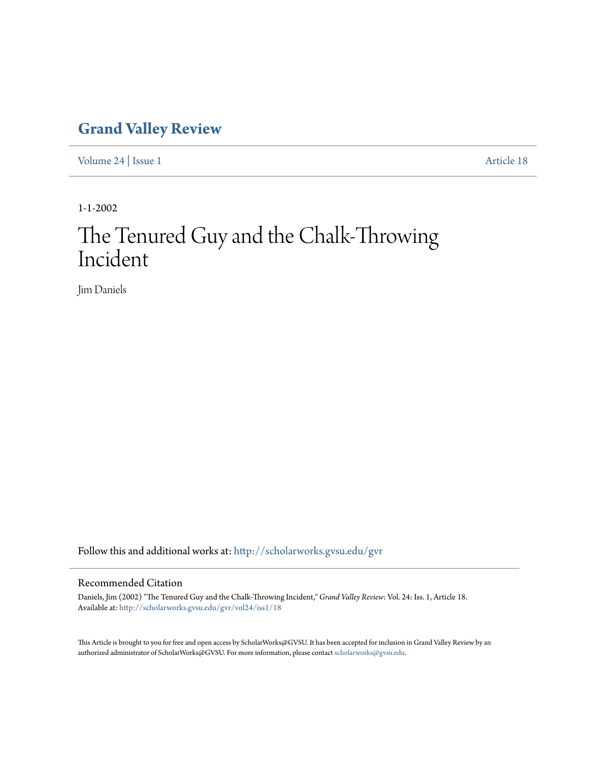## **[Grand Valley Review](http://scholarworks.gvsu.edu/gvr?utm_source=scholarworks.gvsu.edu%2Fgvr%2Fvol24%2Fiss1%2F18&utm_medium=PDF&utm_campaign=PDFCoverPages)**

[Volume 24](http://scholarworks.gvsu.edu/gvr/vol24?utm_source=scholarworks.gvsu.edu%2Fgvr%2Fvol24%2Fiss1%2F18&utm_medium=PDF&utm_campaign=PDFCoverPages) | [Issue 1](http://scholarworks.gvsu.edu/gvr/vol24/iss1?utm_source=scholarworks.gvsu.edu%2Fgvr%2Fvol24%2Fiss1%2F18&utm_medium=PDF&utm_campaign=PDFCoverPages) [Article 18](http://scholarworks.gvsu.edu/gvr/vol24/iss1/18?utm_source=scholarworks.gvsu.edu%2Fgvr%2Fvol24%2Fiss1%2F18&utm_medium=PDF&utm_campaign=PDFCoverPages)

1-1-2002

## The Tenured Guy and the Chalk-Throwing Incident

Jim Daniels

Follow this and additional works at: [http://scholarworks.gvsu.edu/gvr](http://scholarworks.gvsu.edu/gvr?utm_source=scholarworks.gvsu.edu%2Fgvr%2Fvol24%2Fiss1%2F18&utm_medium=PDF&utm_campaign=PDFCoverPages)

## Recommended Citation

Daniels, Jim (2002) "The Tenured Guy and the Chalk-Throwing Incident," *Grand Valley Review*: Vol. 24: Iss. 1, Article 18. Available at: [http://scholarworks.gvsu.edu/gvr/vol24/iss1/18](http://scholarworks.gvsu.edu/gvr/vol24/iss1/18?utm_source=scholarworks.gvsu.edu%2Fgvr%2Fvol24%2Fiss1%2F18&utm_medium=PDF&utm_campaign=PDFCoverPages)

This Article is brought to you for free and open access by ScholarWorks@GVSU. It has been accepted for inclusion in Grand Valley Review by an authorized administrator of ScholarWorks@GVSU. For more information, please contact [scholarworks@gvsu.edu.](mailto:scholarworks@gvsu.edu)